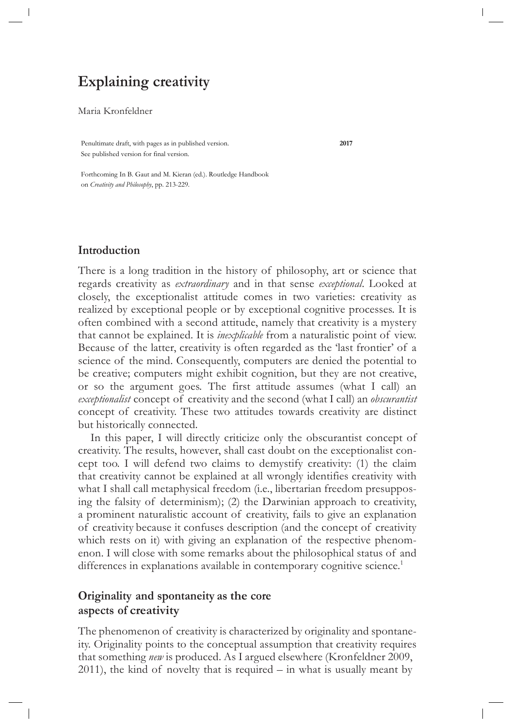# **Explaining creativity**

Maria Kronfeldner

Penultimate draft, with pages as in published version. **2017** See published version for final version.

Forthcoming In B. Gaut and M. Kieran (ed.). Routledge Handbook on *Creativity and Philosophy*, pp. 213-229.

#### **Introduction**

There is a long tradition in the history of philosophy, art or science that regards creativity as *extraordinary* and in that sense *exceptional*. Looked at closely, the exceptionalist attitude comes in two varieties: creativity as realized by exceptional people or by exceptional cognitive processes. It is often combined with a second attitude, namely that creativity is a mystery that cannot be explained. It is *inexplicable* from a naturalistic point of view. Because of the latter, creativity is often regarded as the 'last frontier' of a science of the mind. Consequently, computers are denied the potential to be creative; computers might exhibit cognition, but they are not creative, or so the argument goes. The first attitude assumes (what I call) an *exceptionalist* concept of creativity and the second (what I call) an *obscurantist* concept of creativity. These two attitudes towards creativity are distinct but historically connected.

In this paper, I will directly criticize only the obscurantist concept of creativity. The results, however, shall cast doubt on the exceptionalist concept too. I will defend two claims to demystify creativity: (1) the claim that creativity cannot be explained at all wrongly identifies creativity with what I shall call metaphysical freedom (i.e., libertarian freedom presupposing the falsity of determinism); (2) the Darwinian approach to creativity, a prominent naturalistic account of creativity, fails to give an explanation of creativity because it confuses description (and the concept of creativity which rests on it) with giving an explanation of the respective phenomenon. I will close with some remarks about the philosophical status of and differences in explanations available in contemporary cognitive science.<sup>1</sup>

## **Originality and spontaneity as the core aspects of creativity**

The phenomenon of creativity is characterized by originality and spontaneity. Originality points to the conceptual assumption that creativity requires that something *new* is produced. As I argued elsewhere (Kronfeldner 2009, 2011), the kind of novelty that is required – in what is usually meant by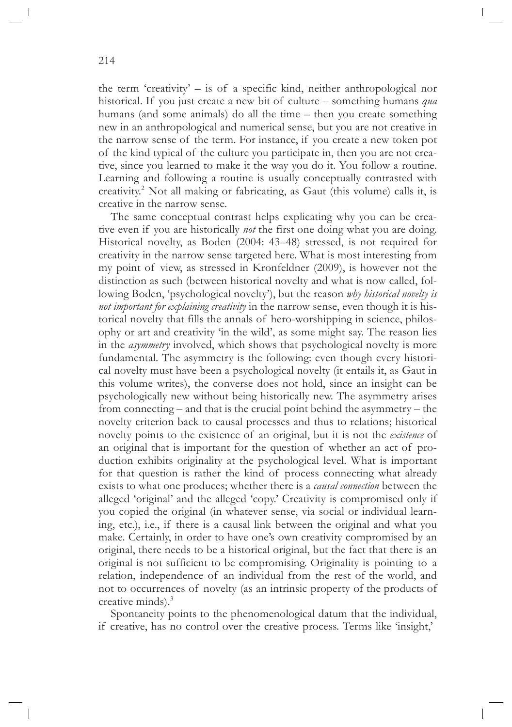the term 'creativity' – is of a specific kind, neither anthropological nor historical. If you just create a new bit of culture – something humans *qua*  humans (and some animals) do all the time – then you create something new in an anthropological and numerical sense, but you are not creative in the narrow sense of the term. For instance, if you create a new token pot of the kind typical of the culture you participate in, then you are not creative, since you learned to make it the way you do it. You follow a routine. Learning and following a routine is usually conceptually contrasted with creativity. 2 Not all making or fabricating, as Gaut (this volume) calls it, is creative in the narrow sense.

The same conceptual contrast helps explicating why you can be creative even if you are historically *not* the first one doing what you are doing. Historical novelty, as Boden (2004: 43–48) stressed, is not required for creativity in the narrow sense targeted here. What is most interesting from my point of view, as stressed in Kronfeldner (2009), is however not the distinction as such (between historical novelty and what is now called, following Boden, 'psychological novelty'), but the reason *why historical novelty is not important for explaining creativity* in the narrow sense, even though it is historical novelty that fills the annals of hero-worshipping in science, philosophy or art and creativity 'in the wild', as some might say. The reason lies in the *asymmetry* involved, which shows that psychological novelty is more fundamental. The asymmetry is the following: even though every historical novelty must have been a psychological novelty (it entails it, as Gaut in this volume writes), the converse does not hold, since an insight can be psychologically new without being historically new. The asymmetry arises from connecting – and that is the crucial point behind the asymmetry – the novelty criterion back to causal processes and thus to relations; historical novelty points to the existence of an original, but it is not the *existence* of an original that is important for the question of whether an act of production exhibits originality at the psychological level. What is important for that question is rather the kind of process connecting what already exists to what one produces; whether there is a *causal connection* between the alleged 'original' and the alleged 'copy.' Creativity is compromised only if you copied the original (in whatever sense, via social or individual learning, etc.), i.e., if there is a causal link between the original and what you make. Certainly, in order to have one's own creativity compromised by an original, there needs to be a historical original, but the fact that there is an original is not sufficient to be compromising. Originality is pointing to a relation, independence of an individual from the rest of the world, and not to occurrences of novelty (as an intrinsic property of the products of creative minds).3

Spontaneity points to the phenomenological datum that the individual, if creative, has no control over the creative process. Terms like 'insight,'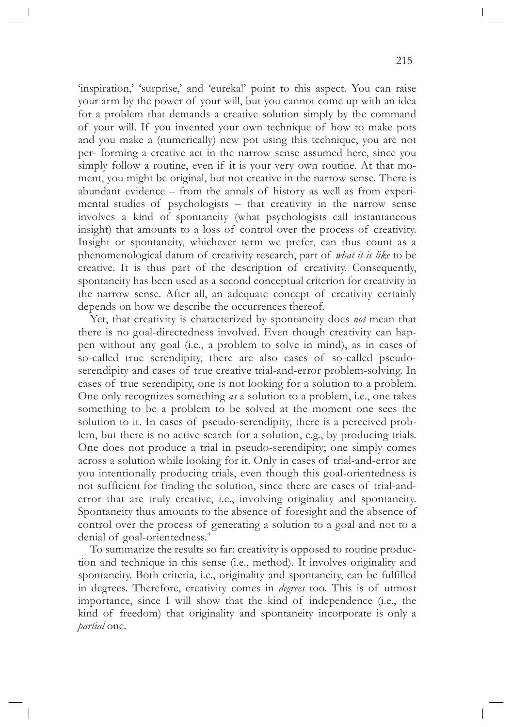'inspiration,' 'surprise,' and 'eureka!' point to this aspect. You can raise your arm by the power of your will, but you cannot come up with an idea for a problem that demands a creative solution simply by the command of your will. If you invented your own technique of how to make pots and you make a (numerically) new pot using this technique, you are not per- forming a creative act in the narrow sense assumed here, since you simply follow a routine, even if it is your very own routine. At that moment, you might be original, but not creative in the narrow sense. There is abundant evidence – from the annals of history as well as from experimental studies of psychologists – that creativity in the narrow sense involves a kind of spontaneity (what psychologists call instantaneous insight) that amounts to a loss of control over the process of creativity. Insight or spontaneity, whichever term we prefer, can thus count as a phenomenological datum of creativity research, part of *what it is like* to be creative. It is thus part of the description of creativity. Consequently, spontaneity has been used as a second conceptual criterion for creativity in the narrow sense. After all, an adequate concept of creativity certainly depends on how we describe the occurrences thereof.

Yet, that creativity is characterized by spontaneity does *not* mean that there is no goal-directedness involved. Even though creativity can happen without any goal (i.e., a problem to solve in mind), as in cases of so-called true serendipity, there are also cases of so-called pseudoserendipity and cases of true creative trial-and-error problem-solving. In cases of true serendipity, one is not looking for a solution to a problem. One only recognizes something *as* a solution to a problem, i.e., one takes something to be a problem to be solved at the moment one sees the solution to it. In cases of pseudo-serendipity, there is a perceived problem, but there is no active search for a solution, e.g., by producing trials. One does not produce a trial in pseudo-serendipity; one simply comes across a solution while looking for it. Only in cases of trial-and-error are you intentionally producing trials, even though this goal-orientedness is not sufficient for finding the solution, since there are cases of trial-anderror that are truly creative, i.e., involving originality and spontaneity. Spontaneity thus amounts to the absence of foresight and the absence of control over the process of generating a solution to a goal and not to a denial of goal-orientedness. 4

To summarize the results so far: creativity is opposed to routine production and technique in this sense (i.e., method). It involves originality and spontaneity. Both criteria, i.e., originality and spontaneity, can be fulfilled in degrees. Therefore, creativity comes in *degrees* too. This is of utmost importance, since I will show that the kind of independence (i.e., the kind of freedom) that originality and spontaneity incorporate is only a *partial* one.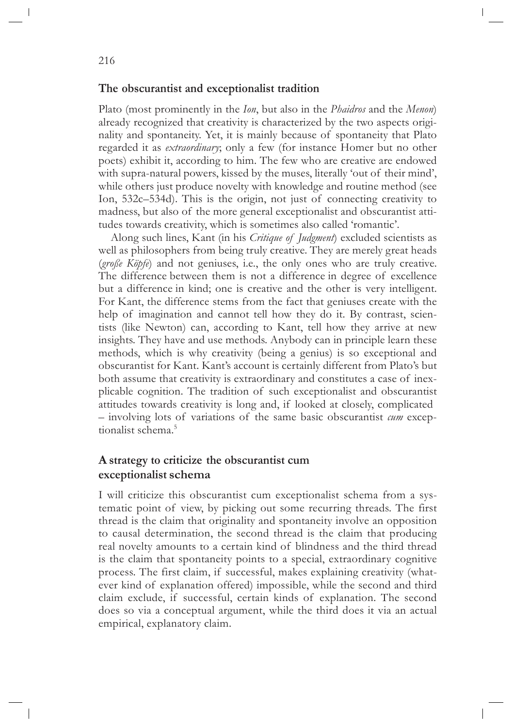#### **The obscurantist and exceptionalist tradition**

Plato (most prominently in the *Ion*, but also in the *Phaidros* and the *Menon*) already recognized that creativity is characterized by the two aspects originality and spontaneity. Yet, it is mainly because of spontaneity that Plato regarded it as *extraordinary*; only a few (for instance Homer but no other poets) exhibit it, according to him. The few who are creative are endowed with supra-natural powers, kissed by the muses, literally 'out of their mind', while others just produce novelty with knowledge and routine method (see Ion, 532c–534d). This is the origin, not just of connecting creativity to madness, but also of the more general exceptionalist and obscurantist attitudes towards creativity, which is sometimes also called 'romantic'.

Along such lines, Kant (in his *Critique of Judgment*) excluded scientists as well as philosophers from being truly creative. They are merely great heads (*große Köpfe*) and not geniuses, i.e., the only ones who are truly creative. The difference between them is not a difference in degree of excellence but a difference in kind; one is creative and the other is very intelligent. For Kant, the difference stems from the fact that geniuses create with the help of imagination and cannot tell how they do it. By contrast, scientists (like Newton) can, according to Kant, tell how they arrive at new insights. They have and use methods. Anybody can in principle learn these methods, which is why creativity (being a genius) is so exceptional and obscurantist for Kant. Kant's account is certainly different from Plato's but both assume that creativity is extraordinary and constitutes a case of inexplicable cognition. The tradition of such exceptionalist and obscurantist attitudes towards creativity is long and, if looked at closely, complicated – involving lots of variations of the same basic obscurantist *cum* exceptionalist schema.<sup>5</sup>

## **A strategy to criticize the obscurantist cum exceptionalist schema**

I will criticize this obscurantist cum exceptionalist schema from a systematic point of view, by picking out some recurring threads. The first thread is the claim that originality and spontaneity involve an opposition to causal determination, the second thread is the claim that producing real novelty amounts to a certain kind of blindness and the third thread is the claim that spontaneity points to a special, extraordinary cognitive process. The first claim, if successful, makes explaining creativity (whatever kind of explanation offered) impossible, while the second and third claim exclude, if successful, certain kinds of explanation. The second does so via a conceptual argument, while the third does it via an actual empirical, explanatory claim.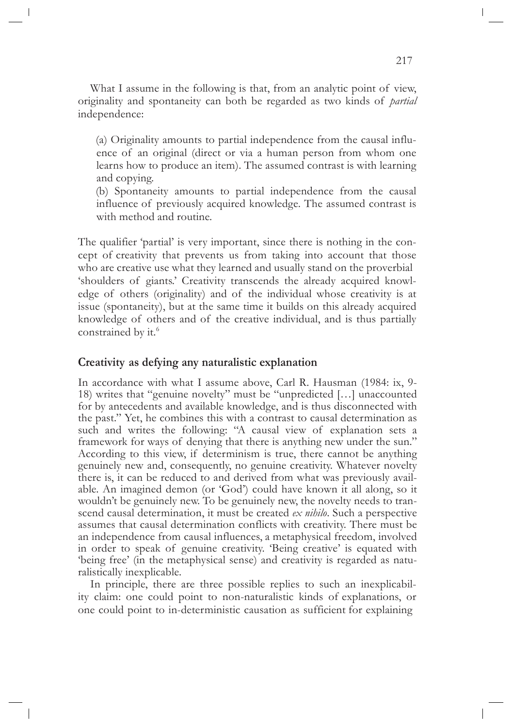What I assume in the following is that, from an analytic point of view, originality and spontaneity can both be regarded as two kinds of *partial*  independence:

 (a) Originality amounts to partial independence from the causal influence of an original (direct or via a human person from whom one learns how to produce an item). The assumed contrast is with learning and copying.

 (b) Spontaneity amounts to partial independence from the causal influence of previously acquired knowledge. The assumed contrast is with method and routine.

The qualifier 'partial' is very important, since there is nothing in the concept of creativity that prevents us from taking into account that those who are creative use what they learned and usually stand on the proverbial 'shoulders of giants.' Creativity transcends the already acquired knowledge of others (originality) and of the individual whose creativity is at issue (spontaneity), but at the same time it builds on this already acquired knowledge of others and of the creative individual, and is thus partially constrained by it.<sup>6</sup>

## **Creativity as defying any naturalistic explanation**

In accordance with what I assume above, Carl R. Hausman (1984: ix, 9- 18) writes that "genuine novelty" must be "unpredicted […] unaccounted for by antecedents and available knowledge, and is thus disconnected with the past." Yet, he combines this with a contrast to causal determination as such and writes the following: "A causal view of explanation sets a framework for ways of denying that there is anything new under the sun." According to this view, if determinism is true, there cannot be anything genuinely new and, consequently, no genuine creativity. Whatever novelty there is, it can be reduced to and derived from what was previously available. An imagined demon (or 'God') could have known it all along, so it wouldn't be genuinely new. To be genuinely new, the novelty needs to transcend causal determination, it must be created *ex nihilo*. Such a perspective assumes that causal determination conflicts with creativity. There must be an independence from causal influences, a metaphysical freedom, involved in order to speak of genuine creativity. 'Being creative' is equated with 'being free' (in the metaphysical sense) and creativity is regarded as naturalistically inexplicable.

In principle, there are three possible replies to such an inexplicability claim: one could point to non-naturalistic kinds of explanations, or one could point to in-deterministic causation as sufficient for explaining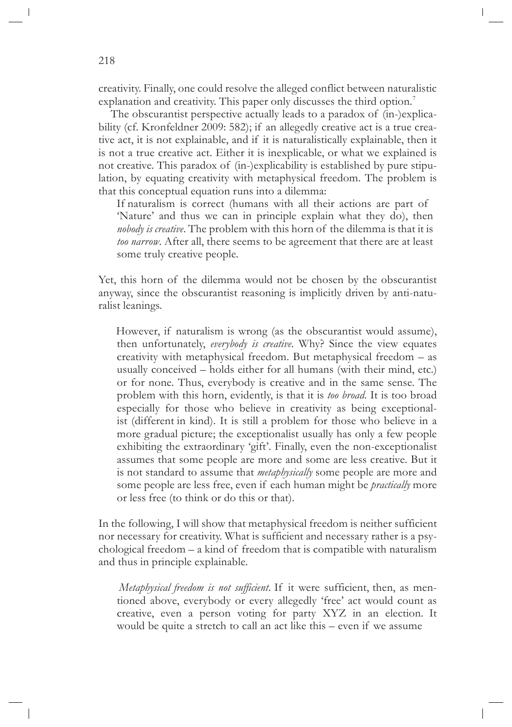creativity. Finally, one could resolve the alleged conflict between naturalistic explanation and creativity. This paper only discusses the third option.<sup>7</sup>

The obscurantist perspective actually leads to a paradox of (in-)explicability (cf. Kronfeldner 2009: 582); if an allegedly creative act is a true creative act, it is not explainable, and if it is naturalistically explainable, then it is not a true creative act. Either it is inexplicable, or what we explained is not creative. This paradox of (in-)explicability is established by pure stipulation, by equating creativity with metaphysical freedom. The problem is that this conceptual equation runs into a dilemma:

 If naturalism is correct (humans with all their actions are part of 'Nature' and thus we can in principle explain what they do), then *nobody is creative*. The problem with this horn of the dilemma is that it is *too narrow*. After all, there seems to be agreement that there are at least some truly creative people.

Yet, this horn of the dilemma would not be chosen by the obscurantist anyway, since the obscurantist reasoning is implicitly driven by anti-naturalist leanings.

 However, if naturalism is wrong (as the obscurantist would assume), then unfortunately, *everybody is creative.* Why? Since the view equates creativity with metaphysical freedom. But metaphysical freedom – as usually conceived – holds either for all humans (with their mind, etc.) or for none. Thus, everybody is creative and in the same sense. The problem with this horn, evidently, is that it is *too broad*. It is too broad especially for those who believe in creativity as being exceptionalist (different in kind). It is still a problem for those who believe in a more gradual picture; the exceptionalist usually has only a few people exhibiting the extraordinary 'gift'. Finally, even the non-exceptionalist assumes that some people are more and some are less creative. But it is not standard to assume that *metaphysically* some people are more and some people are less free, even if each human might be *practically* more or less free (to think or do this or that).

In the following, I will show that metaphysical freedom is neither sufficient nor necessary for creativity. What is sufficient and necessary rather is a psychological freedom – a kind of freedom that is compatible with naturalism and thus in principle explainable.

 *Metaphysical freedom is not sufficient*. If it were sufficient, then, as mentioned above, everybody or every allegedly 'free' act would count as creative, even a person voting for party XYZ in an election. It would be quite a stretch to call an act like this – even if we assume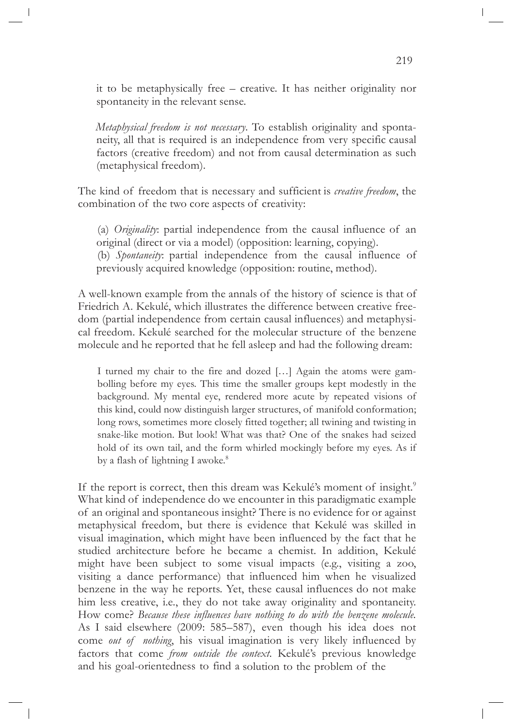it to be metaphysically free – creative. It has neither originality nor spontaneity in the relevant sense.

 *Metaphysical freedom is not necessary*. To establish originality and spontaneity, all that is required is an independence from very specific causal factors (creative freedom) and not from causal determination as such (metaphysical freedom).

The kind of freedom that is necessary and sufficient is *creative freedom*, the combination of the two core aspects of creativity:

 (a) *Originality*: partial independence from the causal influence of an original (direct or via a model) (opposition: learning, copying).

 (b) *Spontaneity*: partial independence from the causal influence of previously acquired knowledge (opposition: routine, method).

A well-known example from the annals of the history of science is that of Friedrich A. Kekulé, which illustrates the difference between creative freedom (partial independence from certain causal influences) and metaphysical freedom. Kekulé searched for the molecular structure of the benzene molecule and he reported that he fell asleep and had the following dream:

I turned my chair to the fire and dozed […] Again the atoms were gambolling before my eyes. This time the smaller groups kept modestly in the background. My mental eye, rendered more acute by repeated visions of this kind, could now distinguish larger structures, of manifold conformation; long rows, sometimes more closely fitted together; all twining and twisting in snake-like motion. But look! What was that? One of the snakes had seized hold of its own tail, and the form whirled mockingly before my eyes. As if by a flash of lightning I awoke. 8

If the report is correct, then this dream was Kekulé's moment of insight.<sup>9</sup> What kind of independence do we encounter in this paradigmatic example of an original and spontaneous insight? There is no evidence for or against metaphysical freedom, but there is evidence that Kekulé was skilled in visual imagination, which might have been influenced by the fact that he studied architecture before he became a chemist. In addition, Kekulé might have been subject to some visual impacts (e.g., visiting a zoo, visiting a dance performance) that influenced him when he visualized benzene in the way he reports. Yet, these causal influences do not make him less creative, i.e., they do not take away originality and spontaneity. How come? *Because these influences have nothing to do with the benzene molecule.* As I said elsewhere (2009: 585–587), even though his idea does not come *out of nothing*, his visual imagination is very likely influenced by factors that come *from outside the context*. Kekulé's previous knowledge and his goal-orientedness to find a solution to the problem of the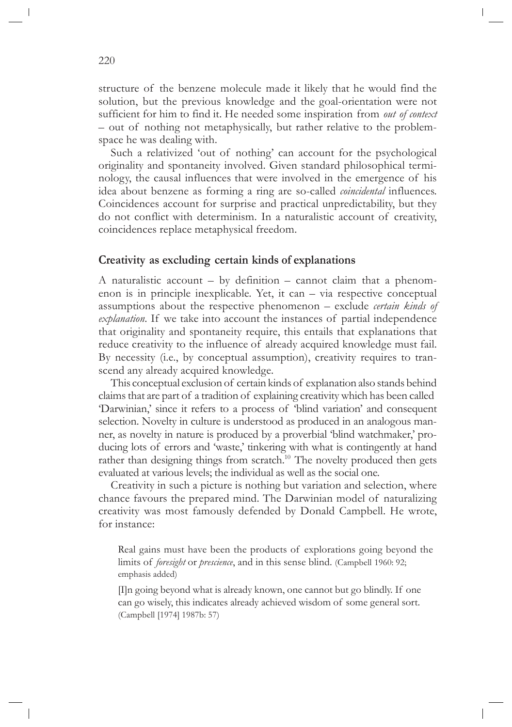structure of the benzene molecule made it likely that he would find the solution, but the previous knowledge and the goal-orientation were not sufficient for him to find it. He needed some inspiration from *out of context* – out of nothing not metaphysically, but rather relative to the problemspace he was dealing with.

Such a relativized 'out of nothing' can account for the psychological originality and spontaneity involved. Given standard philosophical terminology, the causal influences that were involved in the emergence of his idea about benzene as forming a ring are so-called *coincidental* influences. Coincidences account for surprise and practical unpredictability, but they do not conflict with determinism. In a naturalistic account of creativity, coincidences replace metaphysical freedom.

### **Creativity as excluding certain kinds of explanations**

A naturalistic account – by definition – cannot claim that a phenomenon is in principle inexplicable. Yet, it can – via respective conceptual assumptions about the respective phenomenon – exclude *certain kinds of explanation*. If we take into account the instances of partial independence that originality and spontaneity require, this entails that explanations that reduce creativity to the influence of already acquired knowledge must fail. By necessity (i.e., by conceptual assumption), creativity requires to transcend any already acquired knowledge.

This conceptual exclusion of certain kinds of explanation also stands behind claimsthat are part of a tradition of explaining creativity which has been called 'Darwinian,' since it refers to a process of 'blind variation' and consequent selection. Novelty in culture is understood as produced in an analogous manner, as novelty in nature is produced by a proverbial 'blind watchmaker,' producing lots of errors and 'waste,' tinkering with what is contingently at hand rather than designing things from scratch.<sup>10</sup> The novelty produced then gets evaluated at various levels; the individual as well as the social one.

Creativity in such a picture is nothing but variation and selection, where chance favours the prepared mind. The Darwinian model of naturalizing creativity was most famously defended by Donald Campbell. He wrote, for instance:

Real gains must have been the products of explorations going beyond the limits of *foresight* or *prescience*, and in this sense blind. (Campbell 1960: 92; emphasis added)

[I]n going beyond what is already known, one cannot but go blindly. If one can go wisely, this indicates already achieved wisdom of some general sort. (Campbell [1974] 1987b: 57)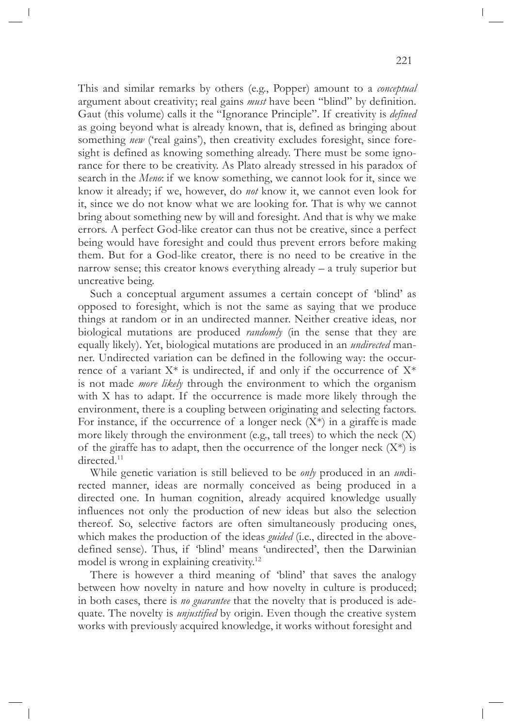This and similar remarks by others (e.g., Popper) amount to a *conceptual*  argument about creativity; real gains *must* have been "blind" by definition. Gaut (this volume) calls it the "Ignorance Principle". If creativity is *defined*  as going beyond what is already known, that is, defined as bringing about something *new* ('real gains'), then creativity excludes foresight, since foresight is defined as knowing something already. There must be some ignorance for there to be creativity. As Plato already stressed in his paradox of search in the *Meno*: if we know something, we cannot look for it, since we know it already; if we, however, do *not* know it, we cannot even look for it, since we do not know what we are looking for. That is why we cannot bring about something new by will and foresight. And that is why we make errors. A perfect God-like creator can thus not be creative, since a perfect being would have foresight and could thus prevent errors before making them. But for a God-like creator, there is no need to be creative in the narrow sense; this creator knows everything already – a truly superior but uncreative being.

Such a conceptual argument assumes a certain concept of 'blind' as opposed to foresight, which is not the same as saying that we produce things at random or in an undirected manner. Neither creative ideas, nor biological mutations are produced *randomly* (in the sense that they are equally likely). Yet, biological mutations are produced in an *undirected* manner. Undirected variation can be defined in the following way: the occurrence of a variant  $X^*$  is undirected, if and only if the occurrence of  $X^*$ is not made *more likely* through the environment to which the organism with X has to adapt. If the occurrence is made more likely through the environment, there is a coupling between originating and selecting factors. For instance, if the occurrence of a longer neck  $(X^*)$  in a giraffe is made more likely through the environment (e.g., tall trees) to which the neck (X) of the giraffe has to adapt, then the occurrence of the longer neck  $(X^*)$  is directed.<sup>11</sup>

While genetic variation is still believed to be *only* produced in an *un*directed manner, ideas are normally conceived as being produced in a directed one. In human cognition, already acquired knowledge usually influences not only the production of new ideas but also the selection thereof. So, selective factors are often simultaneously producing ones, which makes the production of the ideas *guided* (i.e., directed in the abovedefined sense). Thus, if 'blind' means 'undirected', then the Darwinian model is wrong in explaining creativity.<sup>12</sup>

There is however a third meaning of 'blind' that saves the analogy between how novelty in nature and how novelty in culture is produced; in both cases, there is *no guarantee* that the novelty that is produced is adequate. The novelty is *unjustified* by origin. Even though the creative system works with previously acquired knowledge, it works without foresight and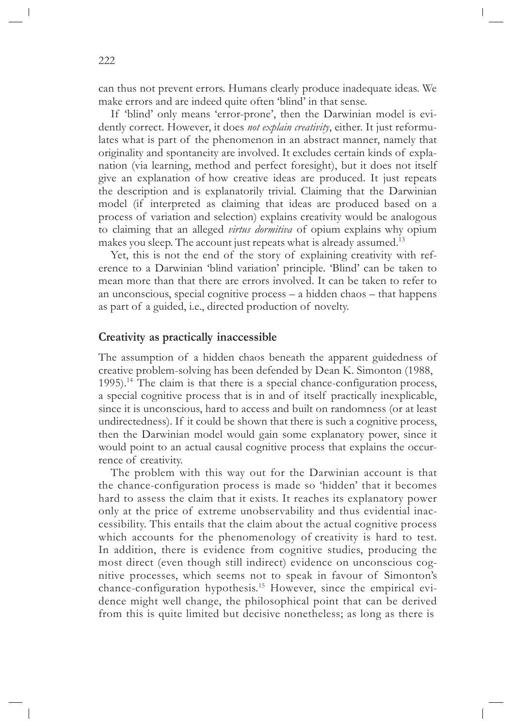can thus not prevent errors. Humans clearly produce inadequate ideas. We make errors and are indeed quite often 'blind' in that sense.

If 'blind' only means 'error-prone', then the Darwinian model is evidently correct. However, it does *not explain creativity*, either. It just reformulates what is part of the phenomenon in an abstract manner, namely that originality and spontaneity are involved. It excludes certain kinds of explanation (via learning, method and perfect foresight), but it does not itself give an explanation of how creative ideas are produced. It just repeats the description and is explanatorily trivial. Claiming that the Darwinian model (if interpreted as claiming that ideas are produced based on a process of variation and selection) explains creativity would be analogous to claiming that an alleged *virtus dormitiva* of opium explains why opium makes you sleep. The account just repeats what is already assumed.<sup>13</sup>

Yet, this is not the end of the story of explaining creativity with reference to a Darwinian 'blind variation' principle. 'Blind' can be taken to mean more than that there are errors involved. It can be taken to refer to an unconscious, special cognitive process – a hidden chaos – that happens as part of a guided, i.e., directed production of novelty.

## **Creativity as practically inaccessible**

The assumption of a hidden chaos beneath the apparent guidedness of creative problem-solving has been defended by Dean K. Simonton (1988, 1995).<sup>14</sup> The claim is that there is a special chance-configuration process, a special cognitive process that is in and of itself practically inexplicable, since it is unconscious, hard to access and built on randomness (or at least undirectedness). If it could be shown that there is such a cognitive process, then the Darwinian model would gain some explanatory power, since it would point to an actual causal cognitive process that explains the occurrence of creativity.

The problem with this way out for the Darwinian account is that the chance-configuration process is made so 'hidden' that it becomes hard to assess the claim that it exists. It reaches its explanatory power only at the price of extreme unobservability and thus evidential inaccessibility. This entails that the claim about the actual cognitive process which accounts for the phenomenology of creativity is hard to test. In addition, there is evidence from cognitive studies, producing the most direct (even though still indirect) evidence on unconscious cognitive processes, which seems not to speak in favour of Simonton's chance-configuration hypothesis. <sup>15</sup> However, since the empirical evidence might well change, the philosophical point that can be derived from this is quite limited but decisive nonetheless; as long as there is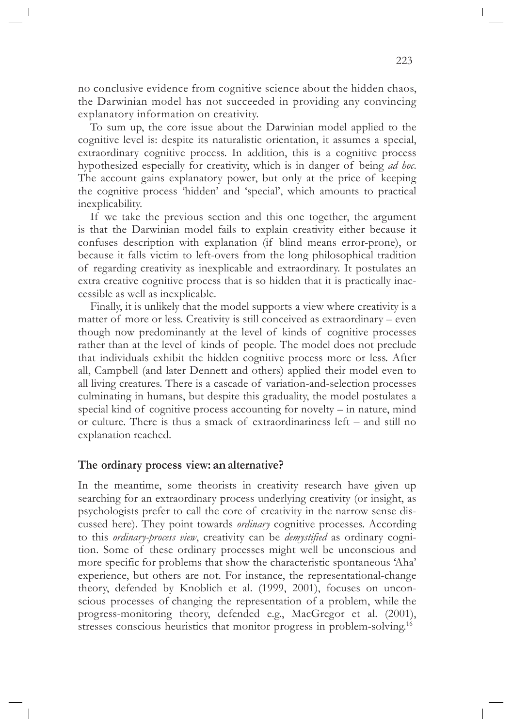no conclusive evidence from cognitive science about the hidden chaos, the Darwinian model has not succeeded in providing any convincing explanatory information on creativity.

To sum up, the core issue about the Darwinian model applied to the cognitive level is: despite its naturalistic orientation, it assumes a special, extraordinary cognitive process. In addition, this is a cognitive process hypothesized especially for creativity, which is in danger of being *ad hoc*. The account gains explanatory power, but only at the price of keeping the cognitive process 'hidden' and 'special', which amounts to practical inexplicability.

If we take the previous section and this one together, the argument is that the Darwinian model fails to explain creativity either because it confuses description with explanation (if blind means error-prone), or because it falls victim to left-overs from the long philosophical tradition of regarding creativity as inexplicable and extraordinary. It postulates an extra creative cognitive process that is so hidden that it is practically inaccessible as well as inexplicable.

Finally, it is unlikely that the model supports a view where creativity is a matter of more or less. Creativity is still conceived as extraordinary – even though now predominantly at the level of kinds of cognitive processes rather than at the level of kinds of people. The model does not preclude that individuals exhibit the hidden cognitive process more or less. After all, Campbell (and later Dennett and others) applied their model even to all living creatures. There is a cascade of variation-and-selection processes culminating in humans, but despite this graduality, the model postulates a special kind of cognitive process accounting for novelty – in nature, mind or culture. There is thus a smack of extraordinariness left – and still no explanation reached.

## **The ordinary process view: an alternative?**

In the meantime, some theorists in creativity research have given up searching for an extraordinary process underlying creativity (or insight, as psychologists prefer to call the core of creativity in the narrow sense discussed here). They point towards *ordinary* cognitive processes. According to this *ordinary-process view*, creativity can be *demystified* as ordinary cognition. Some of these ordinary processes might well be unconscious and more specific for problems that show the characteristic spontaneous 'Aha' experience, but others are not. For instance, the representational-change theory, defended by Knoblich et al. (1999, 2001), focuses on unconscious processes of changing the representation of a problem, while the progress-monitoring theory, defended e.g., MacGregor et al. (2001), stresses conscious heuristics that monitor progress in problem-solving.<sup>16</sup>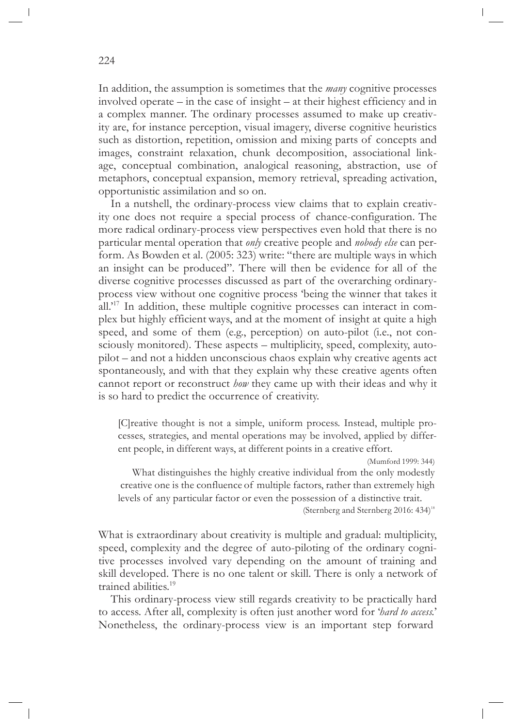In addition, the assumption is sometimes that the *many* cognitive processes involved operate – in the case of insight – at their highest efficiency and in a complex manner. The ordinary processes assumed to make up creativity are, for instance perception, visual imagery, diverse cognitive heuristics such as distortion, repetition, omission and mixing parts of concepts and images, constraint relaxation, chunk decomposition, associational linkage, conceptual combination, analogical reasoning, abstraction, use of metaphors, conceptual expansion, memory retrieval, spreading activation, opportunistic assimilation and so on.

In a nutshell, the ordinary-process view claims that to explain creativity one does not require a special process of chance-configuration. The more radical ordinary-process view perspectives even hold that there is no particular mental operation that *only* creative people and *nobody else* can perform. As Bowden et al. (2005: 323) write: "there are multiple ways in which an insight can be produced". There will then be evidence for all of the diverse cognitive processes discussed as part of the overarching ordinaryprocess view without one cognitive process 'being the winner that takes it all.' 17 In addition, these multiple cognitive processes can interact in complex but highly efficient ways, and at the moment of insight at quite a high speed, and some of them (e.g., perception) on auto-pilot (i.e., not consciously monitored). These aspects – multiplicity, speed, complexity, autopilot – and not a hidden unconscious chaos explain why creative agents act spontaneously, and with that they explain why these creative agents often cannot report or reconstruct *how* they came up with their ideas and why it is so hard to predict the occurrence of creativity.

[C]reative thought is not a simple, uniform process. Instead, multiple processes, strategies, and mental operations may be involved, applied by different people, in different ways, at different points in a creative effort.

(Mumford 1999: 344)

What distinguishes the highly creative individual from the only modestly creative one is the confluence of multiple factors, rather than extremely high levels of any particular factor or even the possession of a distinctive trait.

(Sternberg and Sternberg 2016: 434)<sup>18</sup>

What is extraordinary about creativity is multiple and gradual: multiplicity, speed, complexity and the degree of auto-piloting of the ordinary cognitive processes involved vary depending on the amount of training and skill developed. There is no one talent or skill. There is only a network of trained abilities. 19

This ordinary-process view still regards creativity to be practically hard to access. After all, complexity is often just another word for '*hard to access*.' Nonetheless, the ordinary-process view is an important step forward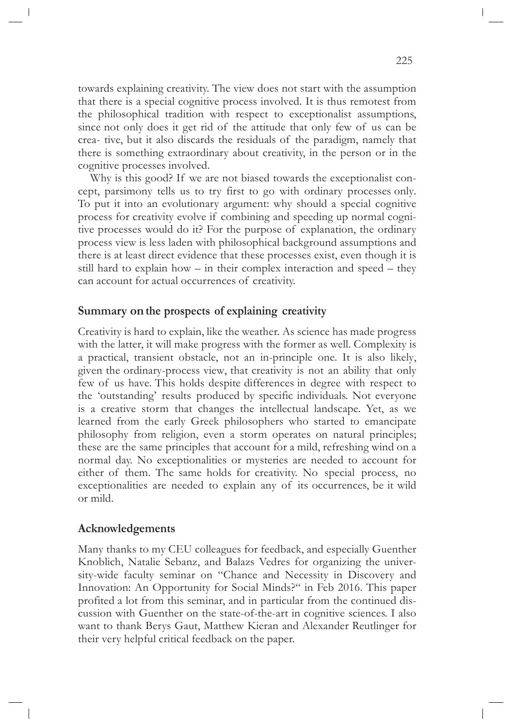towards explaining creativity. The view does not start with the assumption that there is a special cognitive process involved. It is thus remotest from the philosophical tradition with respect to exceptionalist assumptions, since not only does it get rid of the attitude that only few of us can be crea- tive, but it also discards the residuals of the paradigm, namely that there is something extraordinary about creativity, in the person or in the cognitive processes involved.

Why is this good? If we are not biased towards the exceptionalist concept, parsimony tells us to try first to go with ordinary processes only. To put it into an evolutionary argument: why should a special cognitive process for creativity evolve if combining and speeding up normal cognitive processes would do it? For the purpose of explanation, the ordinary process view is less laden with philosophical background assumptions and there is at least direct evidence that these processes exist, even though it is still hard to explain how – in their complex interaction and speed – they can account for actual occurrences of creativity.

#### **Summary onthe prospects of explaining creativity**

Creativity is hard to explain, like the weather. As science has made progress with the latter, it will make progress with the former as well. Complexity is a practical, transient obstacle, not an in-principle one. It is also likely, given the ordinary-process view, that creativity is not an ability that only few of us have. This holds despite differences in degree with respect to the 'outstanding' results produced by specific individuals. Not everyone is a creative storm that changes the intellectual landscape. Yet, as we learned from the early Greek philosophers who started to emancipate philosophy from religion, even a storm operates on natural principles; these are the same principles that account for a mild, refreshing wind on a normal day. No exceptionalities or mysteries are needed to account for either of them. The same holds for creativity. No special process, no exceptionalities are needed to explain any of its occurrences, be it wild or mild.

#### **Acknowledgements**

Many thanks to my CEU colleagues for feedback, and especially Guenther Knoblich, Natalie Sebanz, and Balazs Vedres for organizing the university-wide faculty seminar on "Chance and Necessity in Discovery and Innovation: An Opportunity for Social Minds?" in Feb 2016. This paper profited a lot from this seminar, and in particular from the continued discussion with Guenther on the state-of-the-art in cognitive sciences. I also want to thank Berys Gaut, Matthew Kieran and Alexander Reutlinger for their very helpful critical feedback on the paper.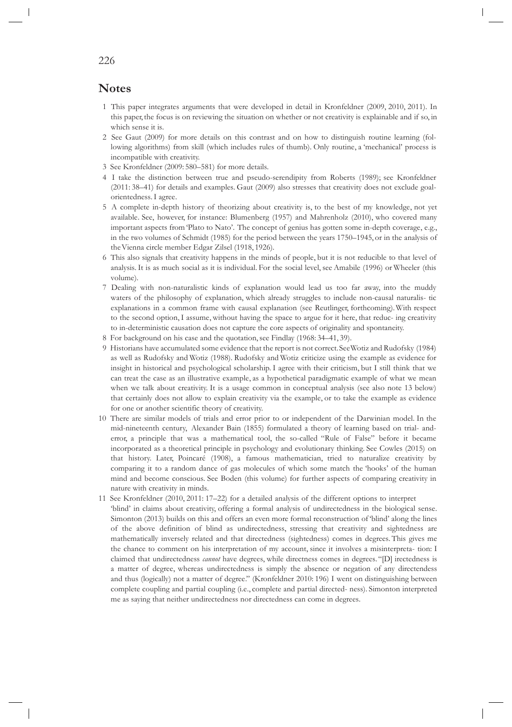# **Notes**

- 1 This paper integrates arguments that were developed in detail in Kronfeldner (2009, 2010, 2011). In this paper,the focus is on reviewing the situation on whether or not creativity is explainable and if so, in which sense it is.
- 2 See Gaut (2009) for more details on this contrast and on how to distinguish routine learning (following algorithms) from skill (which includes rules of thumb). Only routine, a 'mechanical' process is incompatible with creativity.
- 3 See Kronfeldner (2009: 580–581) for more details.
- 4 I take the distinction between true and pseudo-serendipity from Roberts (1989); see Kronfeldner (2011: 38–41) for details and examples. Gaut (2009) also stresses that creativity does not exclude goalorientedness.I agree.
- 5 A complete in-depth history of theorizing about creativity is, to the best of my knowledge, not yet available. See, however, for instance: Blumenberg (1957) and Mahrenholz (2010), who covered many important aspects from'Plato to Nato'. The concept of genius has gotten some in-depth coverage, e.g., in the two volumes of Schmidt (1985) for the period between the years 1750–1945, or in the analysis of theVienna circle member Edgar Zilsel (1918, 1926).
- 6 This also signals that creativity happens in the minds of people, but it is not reducible to that level of analysis. It is as much social as it is individual. For the social level, see Amabile (1996) or Wheeler (this volume).
- 7 Dealing with non-naturalistic kinds of explanation would lead us too far away, into the muddy waters of the philosophy of explanation, which already struggles to include non-causal naturalis- tic explanations in a common frame with causal explanation (see Reutlinger, forthcoming).With respect to the second option, I assume, without having the space to argue for it here, that reduc- ing creativity to in-deterministic causation does not capture the core aspects of originality and spontaneity.
- 8 For background on his case and the quotation, see Findlay (1968: 34-41, 39).
- 9 Historians have accumulated some evidence that the report is not correct.SeeWotiz and Rudofsky (1984) as well as Rudofsky and Wotiz (1988). Rudofsky and Wotiz criticize using the example as evidence for insight in historical and psychological scholarship. I agree with their criticism, but I still think that we can treat the case as an illustrative example, as a hypothetical paradigmatic example of what we mean when we talk about creativity. It is a usage common in conceptual analysis (see also note 13 below) that certainly does not allow to explain creativity via the example, or to take the example as evidence for one or another scientific theory of creativity.
- 10 There are similar models of trials and error prior to or independent of the Darwinian model. In the mid-nineteenth century, Alexander Bain (1855) formulated a theory of learning based on trial- anderror, a principle that was a mathematical tool, the so-called "Rule of False" before it became incorporated as a theoretical principle in psychology and evolutionary thinking. See Cowles (2015) on that history. Later, Poincaré (1908), a famous mathematician, tried to naturalize creativity by comparing it to a random dance of gas molecules of which some match the 'hooks' of the human mind and become conscious. See Boden (this volume) for further aspects of comparing creativity in nature with creativity in minds.
- 11 See Kronfeldner (2010, 2011: 17–22) for a detailed analysis of the different options to interpret 'blind' in claims about creativity, offering a formal analysis of undirectedness in the biological sense. Simonton (2013) builds on this and offers an even more formal reconstruction of'blind' along the lines of the above definition of blind as undirectedness, stressing that creativity and sightedness are mathematically inversely related and that directedness (sightedness) comes in degrees. This gives me the chance to comment on his interpretation of my account, since it involves a misinterpreta- tion: I claimed that undirectedness *cannot* have degrees, while directness comes in degrees. "[D] irectedness is a matter of degree, whereas undirectedness is simply the absence or negation of any directendess and thus (logically) not a matter of degree." (Kronfeldner 2010: 196) I went on distinguishing between complete coupling and partial coupling (i.e., complete and partial directed- ness). Simonton interpreted me as saying that neither undirectedness nor directedness can come in degrees.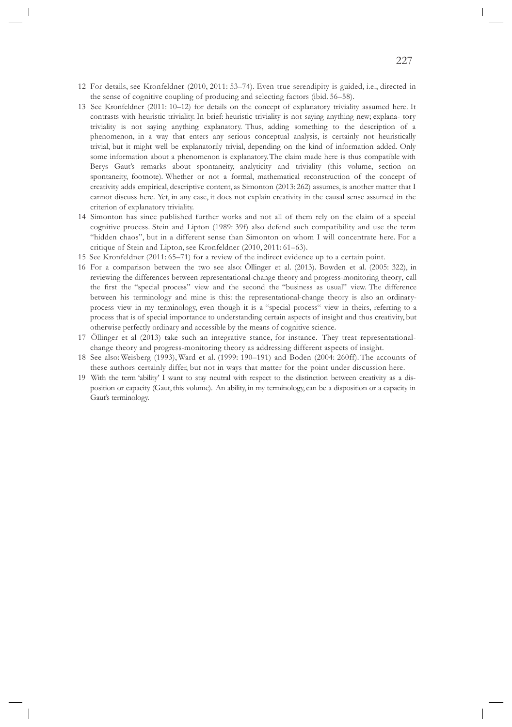227

- 12 For details, see Kronfeldner (2010, 2011: 53–74). Even true serendipity is guided, i.e., directed in the sense of cognitive coupling of producing and selecting factors (ibid. 56–58).
- 13 See Kronfeldner (2011: 10–12) for details on the concept of explanatory triviality assumed here. It contrasts with heuristic triviality. In brief: heuristic triviality is not saying anything new; explana- tory triviality is not saying anything explanatory. Thus, adding something to the description of a phenomenon, in a way that enters any serious conceptual analysis, is certainly not heuristically trivial, but it might well be explanatorily trivial, depending on the kind of information added. Only some information about a phenomenon is explanatory.The claim made here is thus compatible with Berys Gaut's remarks about spontaneity, analyticity and triviality (this volume, section on spontaneity, footnote). Whether or not a formal, mathematical reconstruction of the concept of creativity adds empirical, descriptive content, as Simonton (2013: 262) assumes, is another matter that I cannot discuss here. Yet, in any case, it does not explain creativity in the causal sense assumed in the criterion of explanatory triviality.
- 14 Simonton has since published further works and not all of them rely on the claim of a special cognitive process. Stein and Lipton (1989: 39f) also defend such compatibility and use the term "hidden chaos", but in a different sense than Simonton on whom I will concentrate here. For a critique of Stein and Lipton, see Kronfeldner (2010, 2011: 61–63).
- 15 See Kronfeldner (2011: 65–71) for a review of the indirect evidence up to a certain point.
- 16 For a comparison between the two see also: Öllinger et al. (2013). Bowden et al. (2005: 322), in reviewing the differences between representational-change theory and progress-monitoring theory, call the first the "special process" view and the second the "business as usual" view. The difference between his terminology and mine is this: the representational-change theory is also an ordinaryprocess view in my terminology, even though it is a "special process" view in theirs, referring to a process that is of special importance to understanding certain aspects of insight and thus creativity, but otherwise perfectly ordinary and accessible by the means of cognitive science.
- 17 Öllinger et al (2013) take such an integrative stance, for instance. They treat representationalchange theory and progress-monitoring theory as addressing different aspects of insight.
- 18 See also: Weisberg (1993), Ward et al. (1999: 190–191) and Boden (2004: 260ff). The accounts of these authors certainly differ, but not in ways that matter for the point under discussion here.
- 19 With the term 'ability' I want to stay neutral with respect to the distinction between creativity as a disposition or capacity (Gaut, this volume). An ability, in my terminology, can be a disposition or a capacity in Gaut's terminology.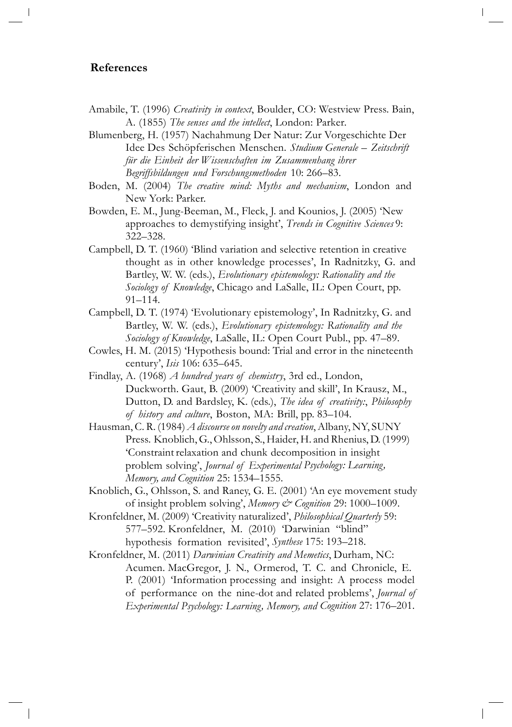#### **References**

- Amabile, T. (1996) *Creativity in context*, Boulder, CO: Westview Press. Bain, A. (1855) *The senses and the intellect*, London: Parker.
- Blumenberg, H. (1957) Nachahmung Der Natur: Zur Vorgeschichte Der Idee Des Schöpferischen Menschen. *Studium Generale – Zeitschrift für die Einheit der Wissenschaften im Zusammenhang ihrer Begriffsbildungen und Forschungsmethoden* 10: 266–83.
- Boden, M. (2004) *The creative mind: Myths and mechanism*, London and New York: Parker.
- Bowden, E. M., Jung-Beeman, M., Fleck, J. and Kounios, J. (2005) 'New approaches to demystifying insight', *Trends in Cognitive Sciences* 9: 322–328.
- Campbell, D. T. (1960) 'Blind variation and selective retention in creative thought as in other knowledge processes', In Radnitzky, G. and Bartley, W. W. (eds.), *Evolutionary epistemology: Rationality and the Sociology of Knowledge*, Chicago and LaSalle, IL: Open Court, pp. 91–114.
- Campbell, D. T. (1974) 'Evolutionary epistemology', In Radnitzky, G. and Bartley, W. W. (eds.), *Evolutionary epistemology: Rationality and the Sociology of Knowledge*, LaSalle, IL: Open Court Publ., pp. 47–89.
- Cowles, H. M. (2015) 'Hypothesis bound: Trial and error in the nineteenth century', *Isis* 106: 635–645.
- Findlay, A. (1968) *A hundred years of chemistry*, 3rd ed., London, Duckworth. Gaut, B. (2009) 'Creativity and skill', In Krausz, M., Dutton, D. and Bardsley, K. (eds.), *The idea of creativity:*, *Philosophy of history and culture*, Boston, MA: Brill, pp. 83–104.
- Hausman, C. R. (1984) *A discourse on novelty and creation*, Albany, NY, SUNY Press. Knoblich, G., Ohlsson, S., Haider, H. and Rhenius, D. (1999) 'Constraint relaxation and chunk decomposition in insight problem solving', *Journal of Experimental Psychology: Learning, Memory, and Cognition* 25: 1534–1555.
- Knoblich, G., Ohlsson, S. and Raney, G. E. (2001) 'An eye movement study of insight problem solving', *Memory & Cognition* 29: 1000–1009.
- Kronfeldner, M. (2009) 'Creativity naturalized', *Philosophical Quarterly* 59: 577–592. Kronfeldner, M. (2010) 'Darwinian "blind" hypothesis formation revisited', *Synthese* 175: 193–218.
- Kronfeldner, M. (2011) *Darwinian Creativity and Memetics*, Durham, NC: Acumen. MacGregor, J. N., Ormerod, T. C. and Chronicle, E. P. (2001) 'Information processing and insight: A process model of performance on the nine-dot and related problems', *Journal of Experimental Psychology: Learning, Memory, and Cognition* 27: 176–201.